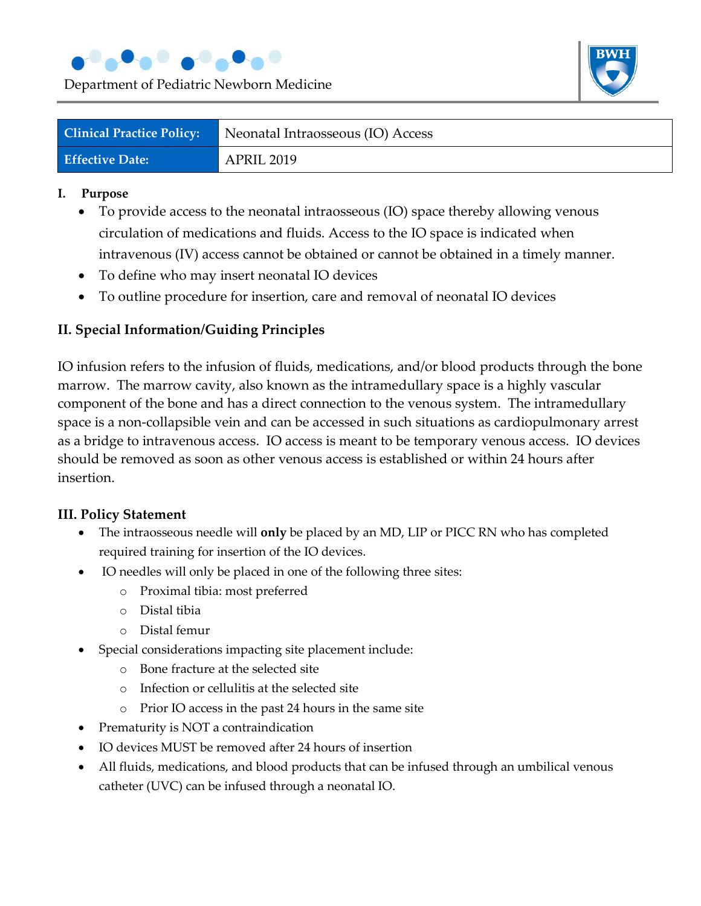

Department of Pediatric Newborn Medicine



| <b>Clinical Practice Policy:</b> | Neonatal Intraosseous (IO) Access |
|----------------------------------|-----------------------------------|
| <b>Effective Date:</b>           | APRIL 2019                        |

#### **I. Purpose**

- To provide access to the neonatal intraosseous (IO) space thereby allowing venous circulation of medications and fluids. Access to the IO space is indicated when intravenous (IV) access cannot be obtained or cannot be obtained in a timely manner.
- To define who may insert neonatal IO devices
- To outline procedure for insertion, care and removal of neonatal IO devices

### **II. Special Information/Guiding Principles**

IO infusion refers to the infusion of fluids, medications, and/or blood products through the bone marrow. The marrow cavity, also known as the intramedullary space is a highly vascular component of the bone and has a direct connection to the venous system. The intramedullary space is a non-collapsible vein and can be accessed in such situations as cardiopulmonary arrest as a bridge to intravenous access. IO access is meant to be temporary venous access. IO devices should be removed as soon as other venous access is established or within 24 hours after insertion.

#### **III. Policy Statement**

- The intraosseous needle will **only** be placed by an MD, LIP or PICC RN who has completed required training for insertion of the IO devices.
- IO needles will only be placed in one of the following three sites:
	- o Proximal tibia: most preferred
	- o Distal tibia
	- o Distal femur
- Special considerations impacting site placement include:
	- o Bone fracture at the selected site
	- o Infection or cellulitis at the selected site
	- o Prior IO access in the past 24 hours in the same site
- Prematurity is NOT a contraindication
- IO devices MUST be removed after 24 hours of insertion
- All fluids, medications, and blood products that can be infused through an umbilical venous catheter (UVC) can be infused through a neonatal IO.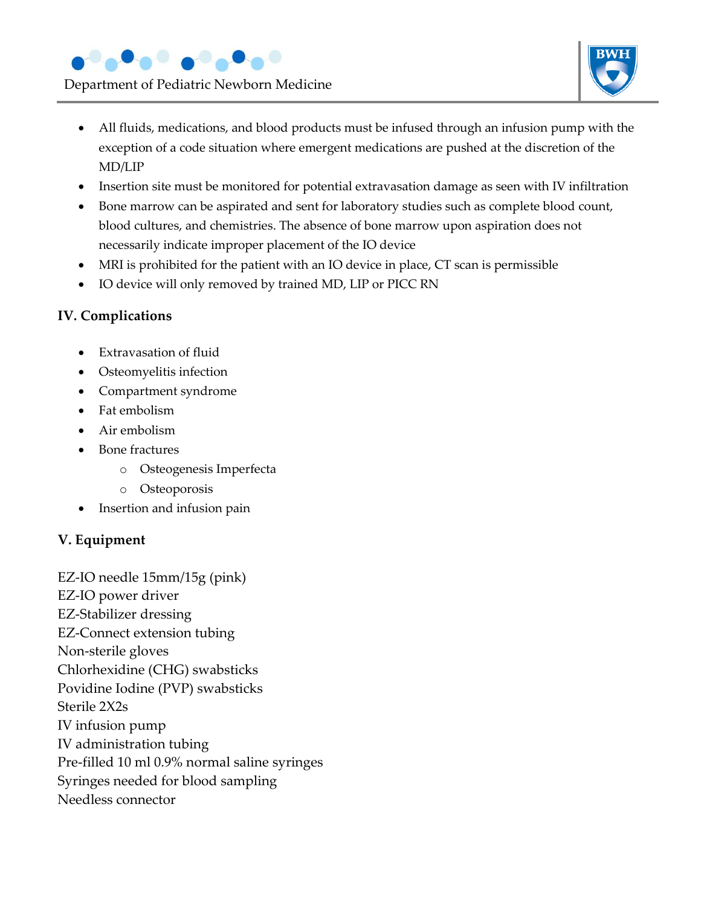

Department of Pediatric Newborn Medicine



- All fluids, medications, and blood products must be infused through an infusion pump with the exception of a code situation where emergent medications are pushed at the discretion of the MD/LIP
- Insertion site must be monitored for potential extravasation damage as seen with IV infiltration
- Bone marrow can be aspirated and sent for laboratory studies such as complete blood count, blood cultures, and chemistries. The absence of bone marrow upon aspiration does not necessarily indicate improper placement of the IO device
- MRI is prohibited for the patient with an IO device in place, CT scan is permissible
- IO device will only removed by trained MD, LIP or PICC RN

### **IV. Complications**

- **Extravasation of fluid**
- Osteomyelitis infection
- Compartment syndrome
- Fat embolism
- Air embolism
- Bone fractures
	- o Osteogenesis Imperfecta
	- o Osteoporosis
- Insertion and infusion pain

# **V. Equipment**

EZ-IO needle 15mm/15g (pink) EZ-IO power driver EZ-Stabilizer dressing EZ-Connect extension tubing Non-sterile gloves Chlorhexidine (CHG) swabsticks Povidine Iodine (PVP) swabsticks Sterile 2X2s IV infusion pump IV administration tubing Pre-filled 10 ml 0.9% normal saline syringes Syringes needed for blood sampling Needless connector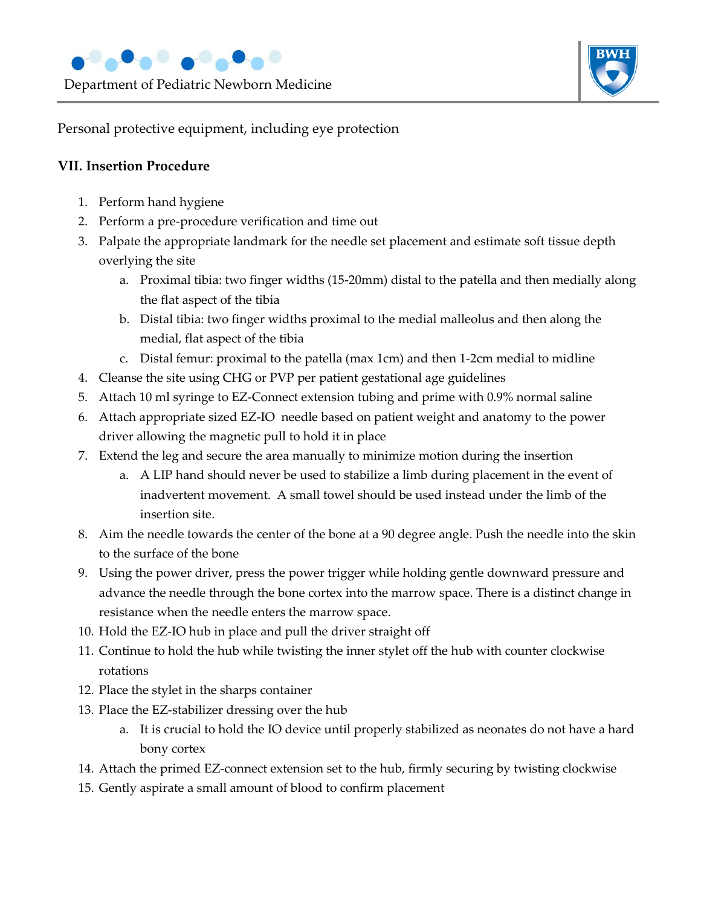

Personal protective equipment, including eye protection

### **VII. Insertion Procedure**

- 1. Perform hand hygiene
- 2. Perform a pre-procedure verification and time out
- 3. Palpate the appropriate landmark for the needle set placement and estimate soft tissue depth overlying the site
	- a. Proximal tibia: two finger widths (15-20mm) distal to the patella and then medially along the flat aspect of the tibia
	- b. Distal tibia: two finger widths proximal to the medial malleolus and then along the medial, flat aspect of the tibia
	- c. Distal femur: proximal to the patella (max 1cm) and then 1-2cm medial to midline
- 4. Cleanse the site using CHG or PVP per patient gestational age guidelines
- 5. Attach 10 ml syringe to EZ-Connect extension tubing and prime with 0.9% normal saline
- 6. Attach appropriate sized EZ-IO needle based on patient weight and anatomy to the power driver allowing the magnetic pull to hold it in place
- 7. Extend the leg and secure the area manually to minimize motion during the insertion
	- a. A LIP hand should never be used to stabilize a limb during placement in the event of inadvertent movement. A small towel should be used instead under the limb of the insertion site.
- 8. Aim the needle towards the center of the bone at a 90 degree angle. Push the needle into the skin to the surface of the bone
- 9. Using the power driver, press the power trigger while holding gentle downward pressure and advance the needle through the bone cortex into the marrow space. There is a distinct change in resistance when the needle enters the marrow space.
- 10. Hold the EZ-IO hub in place and pull the driver straight off
- 11. Continue to hold the hub while twisting the inner stylet off the hub with counter clockwise rotations
- 12. Place the stylet in the sharps container
- 13. Place the EZ-stabilizer dressing over the hub
	- a. It is crucial to hold the IO device until properly stabilized as neonates do not have a hard bony cortex
- 14. Attach the primed EZ-connect extension set to the hub, firmly securing by twisting clockwise
- 15. Gently aspirate a small amount of blood to confirm placement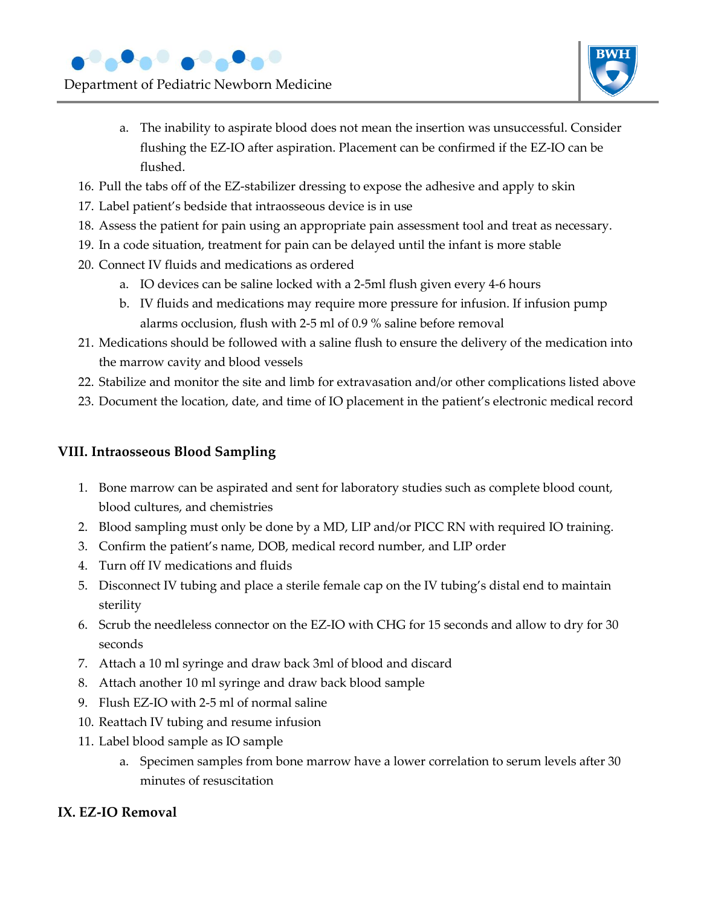

Department of Pediatric Newborn Medicine



- a. The inability to aspirate blood does not mean the insertion was unsuccessful. Consider flushing the EZ-IO after aspiration. Placement can be confirmed if the EZ-IO can be flushed.
- 16. Pull the tabs off of the EZ-stabilizer dressing to expose the adhesive and apply to skin
- 17. Label patient's bedside that intraosseous device is in use
- 18. Assess the patient for pain using an appropriate pain assessment tool and treat as necessary.
- 19. In a code situation, treatment for pain can be delayed until the infant is more stable
- 20. Connect IV fluids and medications as ordered
	- a. IO devices can be saline locked with a 2-5ml flush given every 4-6 hours
	- b. IV fluids and medications may require more pressure for infusion. If infusion pump alarms occlusion, flush with 2-5 ml of 0.9 % saline before removal
- 21. Medications should be followed with a saline flush to ensure the delivery of the medication into the marrow cavity and blood vessels
- 22. Stabilize and monitor the site and limb for extravasation and/or other complications listed above
- 23. Document the location, date, and time of IO placement in the patient's electronic medical record

## **VIII. Intraosseous Blood Sampling**

- 1. Bone marrow can be aspirated and sent for laboratory studies such as complete blood count, blood cultures, and chemistries
- 2. Blood sampling must only be done by a MD, LIP and/or PICC RN with required IO training.
- 3. Confirm the patient's name, DOB, medical record number, and LIP order
- 4. Turn off IV medications and fluids
- 5. Disconnect IV tubing and place a sterile female cap on the IV tubing's distal end to maintain sterility
- 6. Scrub the needleless connector on the EZ-IO with CHG for 15 seconds and allow to dry for 30 seconds
- 7. Attach a 10 ml syringe and draw back 3ml of blood and discard
- 8. Attach another 10 ml syringe and draw back blood sample
- 9. Flush EZ-IO with 2-5 ml of normal saline
- 10. Reattach IV tubing and resume infusion
- 11. Label blood sample as IO sample
	- a. Specimen samples from bone marrow have a lower correlation to serum levels after 30 minutes of resuscitation

# **IX. EZ-IO Removal**